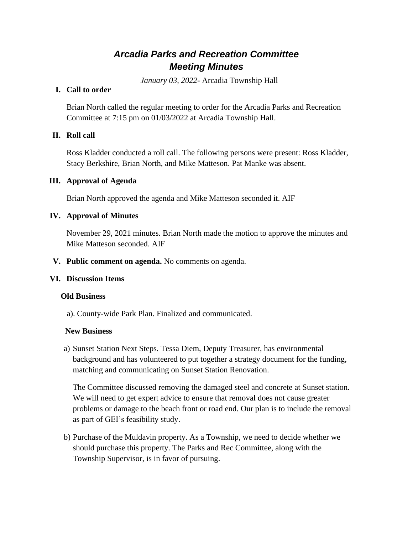# *Arcadia Parks and Recreation Committee Meeting Minutes*

*January 03, 2022*- Arcadia Township Hall

### **I. Call to order**

Brian North called the regular meeting to order for the Arcadia Parks and Recreation Committee at 7:15 pm on 01/03/2022 at Arcadia Township Hall.

## **II. Roll call**

Ross Kladder conducted a roll call. The following persons were present: Ross Kladder, Stacy Berkshire, Brian North, and Mike Matteson. Pat Manke was absent.

## **III. Approval of Agenda**

Brian North approved the agenda and Mike Matteson seconded it. AIF

## **IV. Approval of Minutes**

November 29, 2021 minutes. Brian North made the motion to approve the minutes and Mike Matteson seconded. AIF

#### **V. Public comment on agenda.** No comments on agenda.

#### **VI. Discussion Items**

#### **Old Business**

a). County-wide Park Plan. Finalized and communicated.

#### **New Business**

a) Sunset Station Next Steps. Tessa Diem, Deputy Treasurer, has environmental background and has volunteered to put together a strategy document for the funding, matching and communicating on Sunset Station Renovation.

The Committee discussed removing the damaged steel and concrete at Sunset station. We will need to get expert advice to ensure that removal does not cause greater problems or damage to the beach front or road end. Our plan is to include the removal as part of GEI's feasibility study.

b) Purchase of the Muldavin property. As a Township, we need to decide whether we should purchase this property. The Parks and Rec Committee, along with the Township Supervisor, is in favor of pursuing.